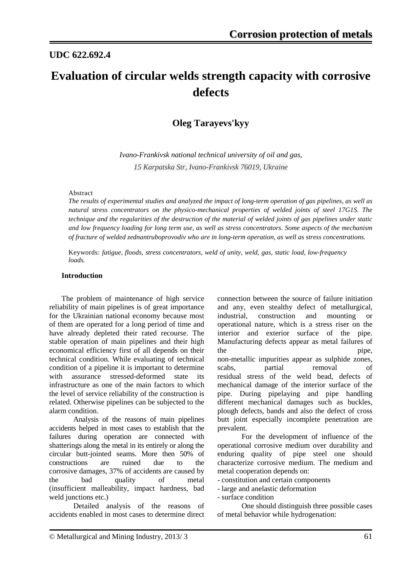### **UDC 622.692.4**

# **Evaluation of circular welds strength capacity with corrosive defects**

### **Oleg Tarayevs'kyy**

*Ivano-Frankivsk national technical university of oil and gas, 15 Karpatska Str, Ivano-Frankivsk 76019, Ukraine*

#### Abstract

*The results of experimental studies and analyzed the impact of long-term operation of gas pipelines, as well as natural stress concentrators on the physico-mechanical properties of welded joints of steel 17G1S. The technique and the regularities of the destruction of the material of welded joints of gas pipelines under static and low frequency loading for long term use, as well as stress concentrators. Some aspects of the mechanism of fracture of welded zednantruboprovodiv who are in long-term operation, as well as stress concentrations.*

Keywords: *fatigue, floods, stress concentrators, weld of unity, weld, gas, static load, low-frequency loads.*

#### **Introduction**

The problem of maintenance of high service reliability of main pipelines is of great importance for the Ukrainian national economy because most of them are operated for a long period of time and have already depleted their rated recourse. The stable operation of main pipelines and their high economical efficiency first of all depends on their technical condition. While evaluating of technical condition of a pipeline it is important to determine<br>with assurance stressed-deformed state its assurance stressed-deformed state its infrastructure as one of the main factors to which the level of service reliability of the construction is related. Otherwise pipelines can be subjected to the alarm condition.

Analysis of the reasons of main pipelines accidents helped in most cases to establish that the failures during operation are connected with shatterings along the metal in its entirely or along the circular butt-jointed seams. More then 50% of constructions are ruined due to the corrosive damages, 37% of accidents are caused by the bad quality of metal (insufficient malleability, impact hardness, bad weld junctions etc.)

Detailed analysis of the reasons of accidents enabled in most cases to determine direct connection between the source of failure initiation and any, even stealthy defect of metallurgical, industrial, construction and mounting or operational nature, which is a stress riser on the interior and exterior surface of the pipe. Manufacturing defects appear as metal failures of the pipe, non-metallic impurities appear as sulphide zones, scabs, partial removal of residual stress of the weld bead, defects of mechanical damage of the interior surface of the pipe. During pipelaying and pipe handling different mechanical damages such as buckles, plough defects, bands and also the defect of cross butt joint especially incomplete penetration are prevalent.

For the development of influence of the operational corrosive medium over durability and enduring quality of pipe steel one should characterize corrosive medium. The medium and metal cooperation depends on:

- constitution and certain components

- large and anelastic deformation
- surface condition

One should distinguish three possible cases of metal behavior while [hydrogenation:](http://www.multitran.ru/c/m.exe?t=4703288_1_2&s1=%ED%E0%E2%EE%E4%EE%F0%E0%E6%E8%E2%E0%ED%E8%E5)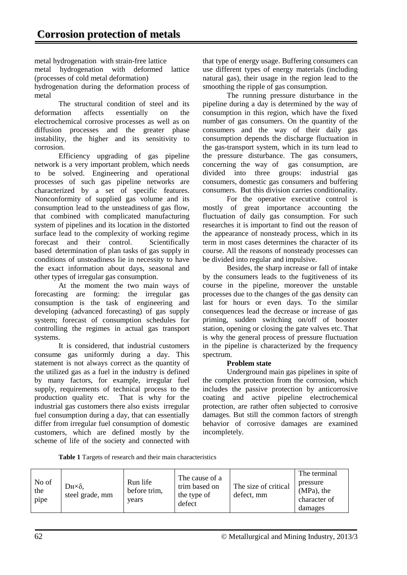metal [hydrogenation](http://www.multitran.ru/c/m.exe?t=4703288_1_2&s1=%ED%E0%E2%EE%E4%EE%F0%E0%E6%E8%E2%E0%ED%E8%E5) with strain-free lattice

metal [hydrogenation](http://www.multitran.ru/c/m.exe?t=4703288_1_2&s1=%ED%E0%E2%EE%E4%EE%F0%E0%E6%E8%E2%E0%ED%E8%E5) with deformed lattice (processes of cold metal deformation) [hydrogenation](http://www.multitran.ru/c/m.exe?t=4703288_1_2&s1=%ED%E0%E2%EE%E4%EE%F0%E0%E6%E8%E2%E0%ED%E8%E5) during the deformation process of

metal

The structural condition of steel and its deformation affects essentially on the electrochemical corrosive processes as well as on diffusion processes and the greater phase instability, the higher and its sensitivity to corrosion.

[Efficiency upgrading](http://www.multitran.ru/c/m.exe?t=422449_1_2&s1=%EF%EE%E2%FB%F8%E5%ED%E8%E5%20%FD%F4%F4%E5%EA%F2%E8%E2%ED%EE%F1%F2%E8) of gas pipeline network is a very important problem, which needs to be solved. Engineering and operational processes of such gas pipeline networks are characterized by a set of specific features. [Nonconformity](http://www.multitran.ru/c/m.exe?t=2220096_1_2&s1=%ED%E5%F1%EE%EE%F2%E2%E5%F2%F1%F2%E2%E8%E5) of supplied gas volume and its consumption lead to the [unsteadiness](http://www.multitran.ru/c/m.exe?t=5643148_1_2&s1=%ED%E5%F1%F2%E0%F6%E8%EE%ED%E0%F0%ED%EE%F1%F2%FC) of gas flow, that combined with complicated manufacturing system of pipelines and its location in the distorted surface lead to the complexity of working regime forecast and their control. [Scientifically](http://www.multitran.ru/c/m.exe?t=4002695_1_2&s1=%ED%E0%F3%F7%ED%EE%20%EE%E1%EE%F1%ED%EE%E2%E0%ED%ED%FB%E9)  [based](http://www.multitran.ru/c/m.exe?t=4002695_1_2&s1=%ED%E0%F3%F7%ED%EE%20%EE%E1%EE%F1%ED%EE%E2%E0%ED%ED%FB%E9) determination of plan tasks of gas supply in conditions of unsteadiness lie in [necessity](http://www.multitran.ru/c/m.exe?t=6345_1_2&s1=%ED%E5%EE%E1%F5%EE%E4%E8%EC%EE%F1%F2%FC) to have the exact information about days, seasonal and other types of [irregular gas consumption.](http://www.multitran.ru/c/m.exe?t=2825863_1_2&s1=%ED%E5%F0%E0%E2%ED%EE%EC%E5%F0%ED%EE%F1%F2%FC%20%EF%EE%F2%F0%E5%E1%EB%E5%ED%E8%FF%20%F2%EE%EF%EB%E8%E2%E0)

At the moment the two main ways of forecasting are forming: the [irregular gas](http://www.multitran.ru/c/m.exe?t=2825863_1_2&s1=%ED%E5%F0%E0%E2%ED%EE%EC%E5%F0%ED%EE%F1%F2%FC%20%EF%EE%F2%F0%E5%E1%EB%E5%ED%E8%FF%20%F2%EE%EF%EB%E8%E2%E0)  [consumption](http://www.multitran.ru/c/m.exe?t=2825863_1_2&s1=%ED%E5%F0%E0%E2%ED%EE%EC%E5%F0%ED%EE%F1%F2%FC%20%EF%EE%F2%F0%E5%E1%EB%E5%ED%E8%FF%20%F2%EE%EF%EB%E8%E2%E0) is the task of engineering and developing (advanced forecasting) of [gas supply](http://www.multitran.ru/c/m.exe?t=2340061_1_2&s1=%F1%E8%F1%F2%E5%EC%E0%20%E3%E0%E7%EE%F1%ED%E0%E1%E6%E5%ED%E8%FF)  [system;](http://www.multitran.ru/c/m.exe?t=2340061_1_2&s1=%F1%E8%F1%F2%E5%EC%E0%20%E3%E0%E7%EE%F1%ED%E0%E1%E6%E5%ED%E8%FF) forecast of [consumption schedules](http://www.multitran.ru/c/m.exe?t=5586729_1_2&s1=%E3%F0%E0%F4%E8%EA%20%EF%EE%F2%F0%E5%E1%EB%E5%ED%E8%FF) for controlling the regimes in actual gas transport systems.

It is considered, that industrial customers consume gas uniformly during a day. This statement is not always correct as the quantity of the utilized gas as a fuel in the industry is defined by many factors, for example, irregular fuel supply, [requirements](http://www.multitran.ru/c/m.exe?t=5398905_1_2&s1=%F2%F0%E5%E1%EE%E2%E0%ED%E8%FF) of [technical process](http://www.multitran.ru/c/m.exe?t=4737774_1_2&s1=%F2%E5%F5%ED%EE%EB%EE%E3%E8%F7%E5%F1%EA%E8%E9%20%EF%F0%EE%F6%E5%F1%F1) to the production quality etc. That is why for the industrial gas customers there also exists [irregular](http://www.multitran.ru/c/m.exe?t=2825863_1_2&s1=%ED%E5%F0%E0%E2%ED%EE%EC%E5%F0%ED%EE%F1%F2%FC%20%EF%EE%F2%F0%E5%E1%EB%E5%ED%E8%FF%20%F2%EE%EF%EB%E8%E2%E0)  [fuel consumption](http://www.multitran.ru/c/m.exe?t=2825863_1_2&s1=%ED%E5%F0%E0%E2%ED%EE%EC%E5%F0%ED%EE%F1%F2%FC%20%EF%EE%F2%F0%E5%E1%EB%E5%ED%E8%FF%20%F2%EE%EF%EB%E8%E2%E0) during a day, that can [essentially](http://www.multitran.ru/c/m.exe?t=89740_1_2&s1=%F1%F3%F9%E5%F1%F2%E2%E5%ED%ED%EE) differ from [irregular fuel consumption](http://www.multitran.ru/c/m.exe?t=2825863_1_2&s1=%ED%E5%F0%E0%E2%ED%EE%EC%E5%F0%ED%EE%F1%F2%FC%20%EF%EE%F2%F0%E5%E1%EB%E5%ED%E8%FF%20%F2%EE%EF%EB%E8%E2%E0) of domestic customers, which are defined mostly by [the](http://www.multitran.ru/c/m.exe?t=2853036_1_2&s1=%F3%EA%EB%E0%E4%20%E6%E8%E7%ED%E8)  [scheme of life](http://www.multitran.ru/c/m.exe?t=2853036_1_2&s1=%F3%EA%EB%E0%E4%20%E6%E8%E7%ED%E8) of the society and connected with

that type of energy usage. [Buffering](http://www.multitran.ru/c/m.exe?t=940817_1_2&s1=%E1%F3%F4%E5%F0%ED%FB%E9) consumers can use different types of energy materials (including natural gas), their usage in the region lead to the smoothing the ripple of gas consumption.

The running [pressure disturbance](http://www.multitran.ru/c/m.exe?t=499336_1_2&s1=%EA%EE%EB%E5%E1%E0%ED%E8%E5%20%E4%E0%E2%EB%E5%ED%E8%FF) in the pipeline during a day is determined by the way of consumption in this region, which have the fixed number of gas consumers. On the quantity of the consumers and the way of their daily gas consumption depends the [discharge fluctuation](http://www.multitran.ru/c/m.exe?t=1451875_1_2&s1=%EA%EE%EB%E5%E1%E0%ED%E8%E5%20%F0%E0%F1%F5%EE%E4%EE%E2) in the [gas-transport system,](http://www.multitran.ru/c/m.exe?t=5238951_1_2&s1=%E3%E0%E7%EE%F2%F0%E0%ED%F1%EF%EE%F0%F2%ED%E0%FF%20%F1%E8%F1%F2%E5%EC%E0) which in its turn lead to the [pressure disturbance.](http://www.multitran.ru/c/m.exe?t=499336_1_2&s1=%EA%EE%EB%E5%E1%E0%ED%E8%E5%20%E4%E0%E2%EB%E5%ED%E8%FF) The gas consumers, concerning the way of gas consumption, are divided into three groups: industrial gas consumers, domestic gas consumers and buffering consumers. But this division carries [conditionality.](http://www.multitran.ru/c/m.exe?t=4937753_1_2&s1=%F3%F1%EB%EE%E2%ED%FB%E9%20%F5%E0%F0%E0%EA%F2%E5%F0)

For the operative [executive control](http://www.multitran.ru/c/m.exe?t=6119736_1_2&s1=%E4%E8%F1%EF%E5%F2%F7%E5%F0%F1%EA%EE%E5%20%F3%EF%F0%E0%E2%EB%E5%ED%E8%E5) is mostly of great importance accounting the fluctuation of daily gas consumption. For such researches it is important to find out the reason of the appearance of [nonsteady process,](http://www.multitran.ru/c/m.exe?t=2368885_1_2&s1=%ED%E5%F1%F2%E0%F6%E8%EE%ED%E0%F0%ED%FB%E9%20%EF%F0%EE%F6%E5%F1%F1) which in its term in most cases determines the character of its course. All the reasons of nonsteady processes can be divided into regular and impulsive.

Besides, the sharp increase or fall of intake by the consumers leads to the [fugitiveness](http://www.multitran.ru/c/m.exe?t=955816_1_2&s1=%ED%E5%F1%F2%EE%E9%EA%EE%F1%F2%FC) of its course in the pipeline, moreover the unstable processes due to the changes of the gas density can last for hours or even days. To the similar consequences lead the decrease or increase of gas priming, sudden switching on/off of booster station, opening or closing the gate valves etc. That is why the general process of [pressure fluctuation](http://www.multitran.ru/c/m.exe?t=272905_1_2&s1=%EA%EE%EB%E5%E1%E0%ED%E8%E5%20%E4%E0%E2%EB%E5%ED%E8%FF) in the pipeline is characterized by the [frequency](http://www.multitran.ru/c/m.exe?t=1259434_1_2&s1=%F1%EF%E5%EA%F2%F0%20%F7%E0%F1%F2%EE%F2)  [spectrum.](http://www.multitran.ru/c/m.exe?t=1259434_1_2&s1=%F1%EF%E5%EA%F2%F0%20%F7%E0%F1%F2%EE%F2)

#### **Problem state**

Underground main gas pipelines in spite of the complex protection from the corrosion, which includes the passive protection by anticorrosive coating and active pipeline electrochemical protection, are rather often subjected to corrosive damages. But still the common factors of strength behavior of corrosive damages are examined incompletely.

|  |  |  |  |  |  | Table 1 Targets of research and their main characteristics |
|--|--|--|--|--|--|------------------------------------------------------------|
|--|--|--|--|--|--|------------------------------------------------------------|

| No of<br>the<br>pipe | $D_H \times \delta$ ,<br>steel grade, mm | Run life<br>before trim,<br>vears | The cause of a<br>trim based on<br>the type of<br>defect | The size of critical<br>defect, mm | The terminal<br>pressure<br>$(MPa)$ , the<br>character of<br>damages |
|----------------------|------------------------------------------|-----------------------------------|----------------------------------------------------------|------------------------------------|----------------------------------------------------------------------|
|----------------------|------------------------------------------|-----------------------------------|----------------------------------------------------------|------------------------------------|----------------------------------------------------------------------|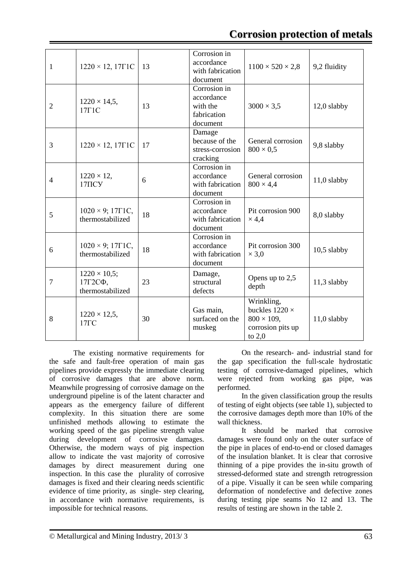## **Corrosion protection of metals**

| 1              | $1220 \times 12, 17 \Gamma 1C$                        | 13 | Corrosion in<br>accordance<br>with fabrication<br>document        | $1100 \times 520 \times 2,8$                                                               | 9,2 fluidity  |
|----------------|-------------------------------------------------------|----|-------------------------------------------------------------------|--------------------------------------------------------------------------------------------|---------------|
| $\overline{2}$ | $1220 \times 14,5$ ,<br>$17 \Gamma 1C$                | 13 | Corrosion in<br>accordance<br>with the<br>fabrication<br>document | $3000 \times 3,5$                                                                          | 12,0 slabby   |
| 3              | $1220 \times 12, 17 \Gamma 1C$                        | 17 | Damage<br>because of the<br>stress-corrosion<br>cracking          | General corrosion<br>$800 \times 0.5$                                                      | 9,8 slabby    |
| $\overline{4}$ | $1220 \times 12$ ,<br>$17\overline{1}$ CY             | 6  | Corrosion in<br>accordance<br>with fabrication<br>document        | General corrosion<br>$800 \times 4,4$                                                      | $11,0$ slabby |
| 5              | $1020 \times 9$ ; 17 $\Gamma$ 1C,<br>thermostabilized | 18 | Corrosion in<br>accordance<br>with fabrication<br>document        | Pit corrosion 900<br>$\times$ 4,4                                                          | 8,0 slabby    |
| 6              | $1020 \times 9$ ; 17 $\Gamma$ 1C,<br>thermostabilized | 18 | Corrosion in<br>accordance<br>with fabrication<br>document        | Pit corrosion 300<br>$\times$ 3,0                                                          | $10,5$ slabby |
| 7              | $1220 \times 10,5;$<br>17Г2СФ,<br>thermostabilized    | 23 | Damage,<br>structural<br>defects                                  | Opens up to 2,5<br>depth                                                                   | 11,3 slabby   |
| 8              | $1220 \times 12,5$ ,<br>$17\Gamma C$                  | 30 | Gas main,<br>surfaced on the<br>muskeg                            | Wrinkling,<br>buckles $1220 \times$<br>$800 \times 109$ ,<br>corrosion pits up<br>to $2,0$ | $11,0$ slabby |

The existing normative requirements for the safe and fault-free operation of main gas pipelines provide expressly the immediate clearing of corrosive damages that are above norm. Meanwhile progressing of corrosive damage on the underground pipeline is of the latent character and appears as the emergency failure of different complexity. In this situation there are some unfinished methods allowing to estimate the working speed of the gas pipeline strength value during development of corrosive damages. Otherwise, the modern ways of pig inspection allow to indicate the vast majority of corrosive damages by direct measurement during one inspection. In this case the plurality of corrosive damages is fixed and their clearing needs scientific evidence of time priority, as single- step clearing, in accordance with normative requirements, is impossible for technical reasons.

On the research- and- industrial stand for the gap specification the full-scale hydrostatic testing of corrosive-damaged pipelines, which were rejected from working gas pipe, was performed.

In the given classification group the results of testing of eight objects (see table 1), subjected to the corrosive damages depth more than 10% of the wall thickness.

It should be marked that corrosive damages were found only on the outer surface of the pipe in places of end-to-end or closed damages of the insulation blanket. It is clear that corrosive thinning of a pipe provides the in-situ growth of stressed-deformed state and strength retrogression of a pipe. Visually it can be seen while comparing deformation of nondefective and defective zones during testing pipe seams No 12 and 13. The results of testing are shown in the table 2.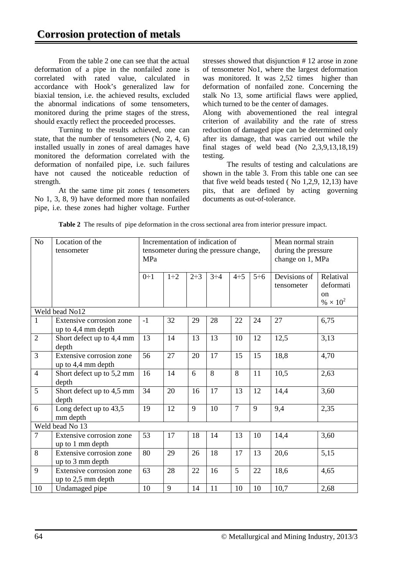From the table 2 one can see that the actual deformation of a pipe in the nonfailed zone is correlated with rated value, calculated in accordance with Hook's generalized law for biaxial tension, i.e. the achieved results, excluded the abnormal indications of some tensometers, monitored during the prime stages of the stress, should exactly reflect the proceeded processes.

Turning to the results achieved, one can state, that the number of tensometers (No 2, 4, 6) installed usually in zones of areal damages have monitored the deformation correlated with the deformation of nonfailed pipe, i.e. such failures have not caused the noticeable reduction of strength.

At the same time pit zones ( tensometers No 1, 3, 8, 9) have deformed more than nonfailed pipe, i.e. these zones had higher voltage. Further stresses showed that disjunction # 12 arose in zone of tensometer No1, where the largest deformation was monitored. It was 2,52 times higher than deformation of nonfailed zone. Concerning the stalk No 13, some artificial flaws were applied, which turned to be the center of damages.

Along with abovementioned the real integral criterion of availability and the rate of stress reduction of damaged pipe can be determined only after its damage, that was carried out while the final stages of weld bead (No  $2,3,9,13,18,19$ ) testing.

The results of testing and calculations are shown in the table 3. From this table one can see that five weld beads tested ( No 1,2,9, 12,13) have pits, that are defined by acting governing documents as out-of-tolerance.

| No             | Location of the<br>tensometer                  | MPa       |           |           | Incrementation of indication of<br>tensometer during the pressure change, |                |           | Mean normal strain<br>during the pressure<br>change on 1, MPa |                                         |
|----------------|------------------------------------------------|-----------|-----------|-----------|---------------------------------------------------------------------------|----------------|-----------|---------------------------------------------------------------|-----------------------------------------|
|                |                                                | $0\div 1$ | $1\div 2$ | $2\div 3$ | $3\div 4$                                                                 | $4\div 5$      | $5\div 6$ | Devisions of<br>tensometer                                    | Relatival<br>deformati<br><sub>on</sub> |
|                |                                                |           |           |           |                                                                           |                |           |                                                               | % $\times 10^{2}$                       |
|                | Weld bead No12                                 |           |           |           |                                                                           |                |           |                                                               |                                         |
| $\mathbf{1}$   | Extensive corrosion zone<br>up to 4,4 mm depth | $-1$      | 32        | 29        | 28                                                                        | 22             | 24        | 27                                                            | 6,75                                    |
| $\overline{2}$ | Short defect up to 4,4 mm<br>depth             | 13        | 14        | 13        | 13                                                                        | 10             | 12        | 12,5                                                          | 3,13                                    |
| $\overline{3}$ | Extensive corrosion zone<br>up to 4,4 mm depth | 56        | 27        | 20        | 17                                                                        | 15             | 15        | 18,8                                                          | 4,70                                    |
| $\overline{4}$ | Short defect up to 5,2 mm<br>depth             | 16        | 14        | 6         | 8                                                                         | 8              | 11        | 10,5                                                          | 2,63                                    |
| $\overline{5}$ | Short defect up to 4,5 mm<br>depth             | 34        | 20        | 16        | 17                                                                        | 13             | 12        | 14,4                                                          | 3,60                                    |
| 6              | Long defect up to 43,5<br>mm depth             | 19        | 12        | 9         | 10                                                                        | $\overline{7}$ | 9         | 9,4                                                           | 2,35                                    |
|                | Weld bead No 13                                |           |           |           |                                                                           |                |           |                                                               |                                         |
| $\overline{7}$ | Extensive corrosion zone<br>up to 1 mm depth   | 53        | 17        | 18        | 14                                                                        | 13             | 10        | 14,4                                                          | 3,60                                    |
| $\overline{8}$ | Extensive corrosion zone<br>up to 3 mm depth   | 80        | 29        | 26        | 18                                                                        | 17             | 13        | 20,6                                                          | 5,15                                    |
| 9              | Extensive corrosion zone<br>up to 2,5 mm depth | 63        | 28        | 22        | 16                                                                        | 5              | 22        | 18,6                                                          | 4,65                                    |
| 10             | Undamaged pipe                                 | 10        | 9         | 14        | 11                                                                        | 10             | 10        | 10,7                                                          | 2,68                                    |

**Table 2** The results of pipe deformation in the cross sectional area from interior pressure impact.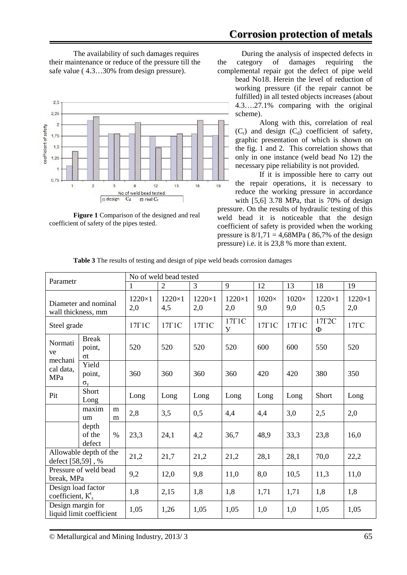The availability of such damages requires their maintenance or reduce of the pressure till the safe value ( 4.3…30% from design pressure).





During the analysis of inspected defects in the category of damages requiring the complemental repair got the defect of pipe weld

bead No18. Herein the level of reduction of working pressure (if the repair cannot be fulfilled) in all tested objects increases (about 4.3….27.1% comparing with the original scheme).

Along with this, correlation of real  $(C_r)$  and design  $(C_d)$  coefficient of safety, graphic presentation of which is shown on the fig. 1 and 2. This correlation shows that only in one instance (weld bead No 12) the necessary pipe reliability is not provided.

If it is impossible here to carry out the repair operations, it is necessary to reduce the working pressure in accordance with [5,6] 3.78 MPa, that is 70% of design

pressure. On the results of hydraulic testing of this weld bead it is noticeable that the design coefficient of safety is provided when the working pressure is  $8/1,71 = 4,68MPa$  (86,7% of the design pressure) i.e. it is 23,8 % more than extent.

| Parametr                                      |                                     | No of weld bead tested |                      |                      |                                |                     |                     |                         |                      |      |
|-----------------------------------------------|-------------------------------------|------------------------|----------------------|----------------------|--------------------------------|---------------------|---------------------|-------------------------|----------------------|------|
|                                               |                                     | 1                      | $\overline{2}$       | 3                    | 9                              | 12                  | 13                  | 18                      | 19                   |      |
| Diameter and nominal<br>wall thickness, mm    |                                     | $1220\times1$<br>2,0   | $1220\times1$<br>4,5 | $1220\times1$<br>2,0 | $1220\times1$<br>2,0           | $1020\times$<br>9,0 | $1020\times$<br>9,0 | $1220\times1$<br>0,5    | $1220\times1$<br>2,0 |      |
| Steel grade                                   |                                     | $17 \Gamma 1C$         | $17 \Gamma 1C$       | $17 \Gamma 1C$       | $17 \Gamma 1C$<br>$\mathbf{y}$ | $17 \Gamma 1C$      | $17 \Gamma 1C$      | $17\Gamma 2C$<br>$\Phi$ | $17\Gamma C$         |      |
| <b>Break</b><br>Normati<br>point,<br>ve<br>σt |                                     | 520                    | 520                  | 520                  | 520                            | 600                 | 600                 | 550                     | 520                  |      |
| mechani<br>cal data,<br>MPa                   | Yield<br>point,<br>$\sigma_{\rm v}$ |                        | 360                  | 360                  | 360                            | 360                 | 420                 | 420                     | 380                  | 350  |
| Pit                                           | Short<br>Long                       |                        | Long                 | Long                 | Long                           | Long                | Long                | Long                    | Short                | Long |
| maxim<br>m<br>um<br>m                         |                                     | 2,8                    | 3,5                  | 0,5                  | 4,4                            | 4,4                 | 3,0                 | 2,5                     | 2,0                  |      |
|                                               | depth<br>of the<br>defect           | $\%$                   | 23,3                 | 24,1                 | 4,2                            | 36,7                | 48,9                | 33,3                    | 23,8                 | 16,0 |
| Allowable depth of the<br>defect [58,59], %   |                                     | 21,2                   | 21,7                 | 21,2                 | 21,2                           | 28,1                | 28,1                | 70,0                    | 22,2                 |      |
| Pressure of weld bead<br>break, MPa           |                                     | 9,2                    | 12,0                 | 9,8                  | 11,0                           | 8,0                 | 10,5                | 11,3                    | 11,0                 |      |
| Design load factor<br>coefficient, $K_s^t$    |                                     | 1,8                    | 2,15                 | 1,8                  | 1,8                            | 1,71                | 1,71                | 1,8                     | 1,8                  |      |
| Design margin for<br>liquid limit coefficient |                                     |                        | 1,05                 | 1,26                 | 1,05                           | 1,05                | 1,0                 | 1,0                     | 1,05                 | 1,05 |

**Table 3** The results of testing and design of pipe weld beads corrosion damages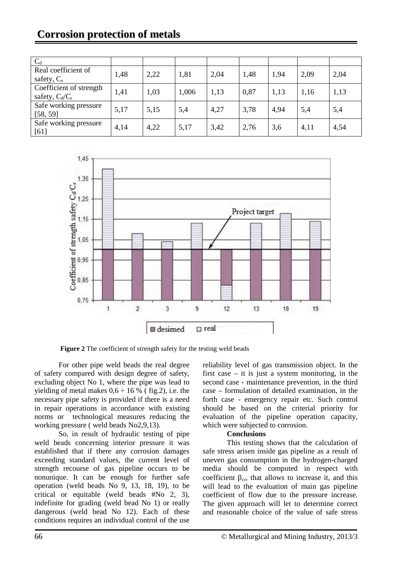# **Corrosion protection of metals**

| $C_d$                                        |      |      |       |      |      |      |      |      |
|----------------------------------------------|------|------|-------|------|------|------|------|------|
| Real coefficient of<br>safety, $C_s$         | 1,48 | 2,22 | 1,81  | 2,04 | 1,48 | 1,94 | 2,09 | 2,04 |
| Coefficient of strength<br>safety, $C_d/C_r$ | 1,41 | 1,03 | 1,006 | 1,13 | 0,87 | 1,13 | 1,16 | 1,13 |
| Safe working pressure<br>[58, 59]            | 5,17 | 5,15 | 5,4   | 4,27 | 3,78 | 4,94 | 5,4  | 5,4  |
| Safe working pressure<br>[61]                | 4,14 | 4,22 | 5,17  | 3,42 | 2,76 | 3,6  | 4,11 | 4,54 |



Figure 2 The coefficient of strength safety for the testing weld beads

For other pipe weld beads the real degree of safety compared with design degree of safety, excluding object No 1, where the pipe was lead to yielding of metal makes  $0.6 \div 16$  % (fig.2), i.e. the necessary pipe safety is provided if there is a need in repair operations in accordance with existing norms or technological measures reducing the working pressure ( weld beads No2,9,13).

So, in result of hydraulic testing of pipe weld beads concerning interior pressure it was established that if there any corrosion damages exceeding standard values, the current level of strength recourse of gas pipeline occurs to be nonunique. It can be enough for further safe operation (weld beads No 9, 13, 18, 19), to be critical or equitable (weld beads #No 2, 3), indefinite for grading (weld bead No 1) or really dangerous (weld bead No 12). Each of these conditions requires an individual control of the use

reliability level of gas transmission object. In the first case  $-$  it is just a system monitoring, in the second case - maintenance prevention, in the third case – formulation of detailed examination, in the forth case - emergency repair etc. Such control should be based on the criterial priority for evaluation of the pipeline operation capacity, which were subjected to corrosion.

#### **Conclusions**

This testing shows that the calculation of safe stress arisen inside gas pipeline as a result of uneven gas consumption in the hydrogen-charged media should be computed in respect with coefficient  $\beta_{cr}$ , that allows to increase it, and this will lead to the evaluation of main gas pipeline coefficient of flow due to the pressure increase. The given approach will let to determine correct and reasonable choice of the value of safe stress